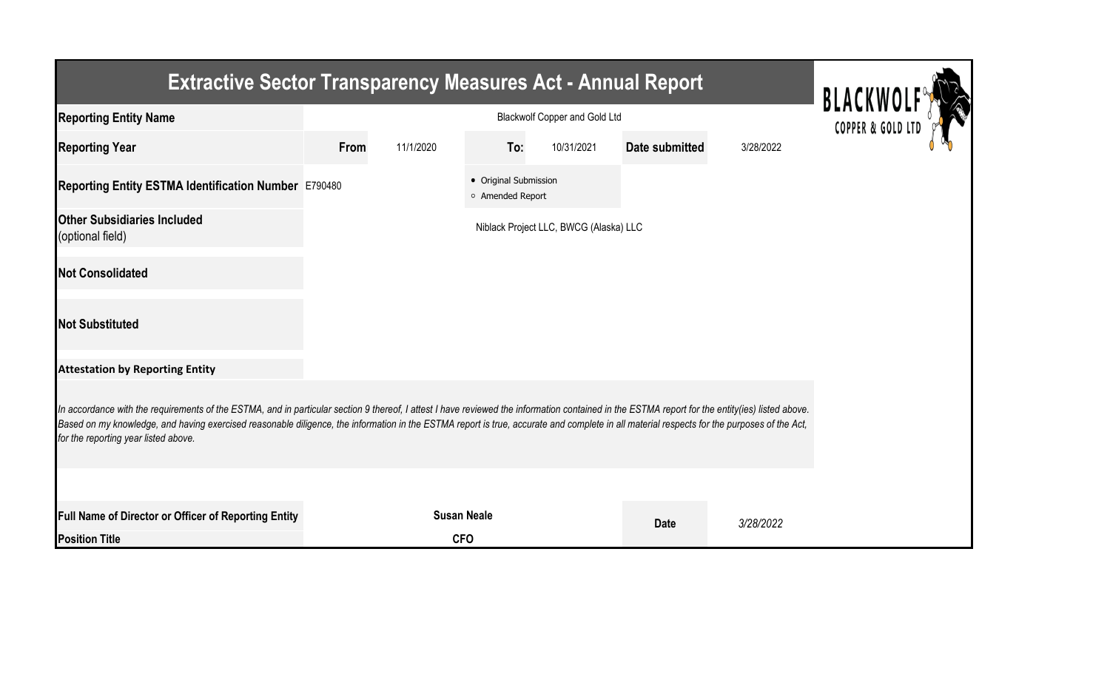| <b>Extractive Sector Transparency Measures Act - Annual Report</b>                                                                                                                                                                                                                                                                                                                                                                    |      |                                                         |                                           |                                        |                       |           |  |  |  |
|---------------------------------------------------------------------------------------------------------------------------------------------------------------------------------------------------------------------------------------------------------------------------------------------------------------------------------------------------------------------------------------------------------------------------------------|------|---------------------------------------------------------|-------------------------------------------|----------------------------------------|-----------------------|-----------|--|--|--|
| <b>Reporting Entity Name</b>                                                                                                                                                                                                                                                                                                                                                                                                          |      | <b>BLACKWOL</b><br><b>Blackwolf Copper and Gold Ltd</b> |                                           |                                        |                       |           |  |  |  |
| <b>Reporting Year</b>                                                                                                                                                                                                                                                                                                                                                                                                                 | From | 11/1/2020                                               | To:                                       | 10/31/2021                             | <b>Date submitted</b> | 3/28/2022 |  |  |  |
| Reporting Entity ESTMA Identification Number E790480                                                                                                                                                                                                                                                                                                                                                                                  |      |                                                         | • Original Submission<br>o Amended Report |                                        |                       |           |  |  |  |
| <b>Other Subsidiaries Included</b><br>(optional field)                                                                                                                                                                                                                                                                                                                                                                                |      |                                                         |                                           | Niblack Project LLC, BWCG (Alaska) LLC |                       |           |  |  |  |
| <b>Not Consolidated</b>                                                                                                                                                                                                                                                                                                                                                                                                               |      |                                                         |                                           |                                        |                       |           |  |  |  |
| <b>Not Substituted</b>                                                                                                                                                                                                                                                                                                                                                                                                                |      |                                                         |                                           |                                        |                       |           |  |  |  |
| <b>Attestation by Reporting Entity</b>                                                                                                                                                                                                                                                                                                                                                                                                |      |                                                         |                                           |                                        |                       |           |  |  |  |
| In accordance with the requirements of the ESTMA, and in particular section 9 thereof, I attest I have reviewed the information contained in the ESTMA report for the entity(ies) listed above.<br>Based on my knowledge, and having exercised reasonable diligence, the information in the ESTMA report is true, accurate and complete in all material respects for the purposes of the Act,<br>for the reporting year listed above. |      |                                                         |                                           |                                        |                       |           |  |  |  |
|                                                                                                                                                                                                                                                                                                                                                                                                                                       |      |                                                         |                                           |                                        |                       |           |  |  |  |
| Full Name of Director or Officer of Reporting Entity                                                                                                                                                                                                                                                                                                                                                                                  |      |                                                         | <b>Susan Neale</b>                        |                                        | <b>Date</b>           | 3/28/2022 |  |  |  |
| <b>Position Title</b>                                                                                                                                                                                                                                                                                                                                                                                                                 |      | <b>CFO</b>                                              |                                           |                                        |                       |           |  |  |  |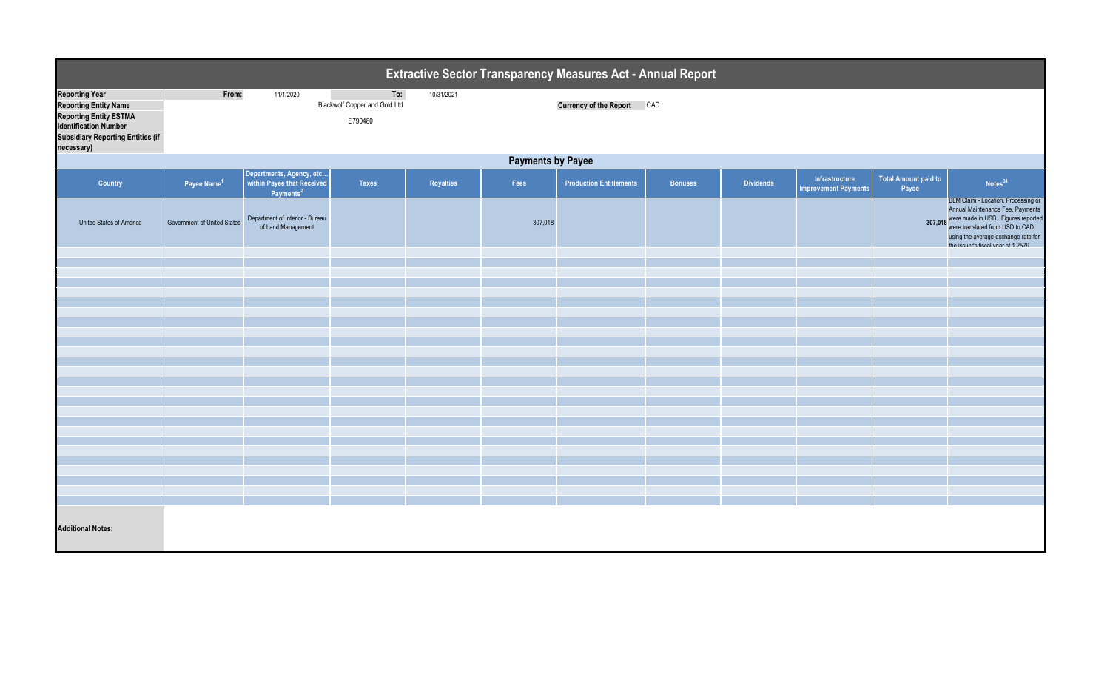| <b>Extractive Sector Transparency Measures Act - Annual Report</b>                                                                                                        |                             |                                                                              |                                                        |            |         |                                |                |                  |                                               |                                      |                                                                                                                                                                                                                                        |  |
|---------------------------------------------------------------------------------------------------------------------------------------------------------------------------|-----------------------------|------------------------------------------------------------------------------|--------------------------------------------------------|------------|---------|--------------------------------|----------------|------------------|-----------------------------------------------|--------------------------------------|----------------------------------------------------------------------------------------------------------------------------------------------------------------------------------------------------------------------------------------|--|
| <b>Reporting Year</b><br><b>Reporting Entity Name</b><br>Reporting Entity ESTMA<br><b>Identification Number</b><br><b>Subsidiary Reporting Entities (if</b><br>necessary) | From:                       | 11/1/2020                                                                    | To:<br><b>Blackwolf Copper and Gold Ltd</b><br>E790480 | 10/31/2021 |         | <b>Currency of the Report</b>  | CAD            |                  |                                               |                                      |                                                                                                                                                                                                                                        |  |
|                                                                                                                                                                           | <b>Payments by Payee</b>    |                                                                              |                                                        |            |         |                                |                |                  |                                               |                                      |                                                                                                                                                                                                                                        |  |
| <b>Country</b>                                                                                                                                                            | Payee Name <sup>1</sup>     | Departments, Agency, etc within Payee that Received<br>Payments <sup>2</sup> | <b>Taxes</b>                                           | Royalties  | Fees    | <b>Production Entitlements</b> | <b>Bonuses</b> | <b>Dividends</b> | Infrastructure<br><b>Improvement Payments</b> | <b>Total Amount paid to</b><br>Payee | Notes <sup>34</sup>                                                                                                                                                                                                                    |  |
| <b>United States of America</b>                                                                                                                                           | Government of United States | Department of Interior - Bureau<br>of Land Management                        |                                                        |            | 307,018 |                                |                |                  |                                               |                                      | BLM Claim - Location, Processing or<br>Annual Maintenance Fee, Payments<br>307,018 were made in USD. Figures reported<br>were translated from USD to CAD<br>using the average exchange rate for<br>the issuer's fiscal vear of 1.2579. |  |
|                                                                                                                                                                           |                             |                                                                              |                                                        |            |         |                                |                |                  |                                               |                                      |                                                                                                                                                                                                                                        |  |
|                                                                                                                                                                           |                             |                                                                              |                                                        |            |         |                                |                |                  |                                               |                                      |                                                                                                                                                                                                                                        |  |
|                                                                                                                                                                           |                             |                                                                              |                                                        |            |         |                                |                |                  |                                               |                                      |                                                                                                                                                                                                                                        |  |
|                                                                                                                                                                           |                             |                                                                              |                                                        |            |         |                                |                |                  |                                               |                                      |                                                                                                                                                                                                                                        |  |
|                                                                                                                                                                           |                             |                                                                              |                                                        |            |         |                                |                |                  |                                               |                                      |                                                                                                                                                                                                                                        |  |
|                                                                                                                                                                           |                             |                                                                              |                                                        |            |         |                                |                |                  |                                               |                                      |                                                                                                                                                                                                                                        |  |
|                                                                                                                                                                           |                             |                                                                              |                                                        |            |         |                                |                |                  |                                               |                                      |                                                                                                                                                                                                                                        |  |
|                                                                                                                                                                           |                             |                                                                              |                                                        |            |         |                                |                |                  |                                               |                                      |                                                                                                                                                                                                                                        |  |
|                                                                                                                                                                           |                             |                                                                              |                                                        |            |         |                                |                |                  |                                               |                                      |                                                                                                                                                                                                                                        |  |
|                                                                                                                                                                           |                             |                                                                              |                                                        |            |         |                                |                |                  |                                               |                                      |                                                                                                                                                                                                                                        |  |
|                                                                                                                                                                           |                             |                                                                              |                                                        |            |         |                                |                |                  |                                               |                                      |                                                                                                                                                                                                                                        |  |
|                                                                                                                                                                           |                             |                                                                              |                                                        |            |         |                                |                |                  |                                               |                                      |                                                                                                                                                                                                                                        |  |
|                                                                                                                                                                           |                             |                                                                              |                                                        |            |         |                                |                |                  |                                               |                                      |                                                                                                                                                                                                                                        |  |
|                                                                                                                                                                           |                             |                                                                              |                                                        |            |         |                                |                |                  |                                               |                                      |                                                                                                                                                                                                                                        |  |
|                                                                                                                                                                           |                             |                                                                              |                                                        |            |         |                                |                |                  |                                               |                                      |                                                                                                                                                                                                                                        |  |
|                                                                                                                                                                           |                             |                                                                              |                                                        |            |         |                                |                |                  |                                               |                                      |                                                                                                                                                                                                                                        |  |
|                                                                                                                                                                           |                             |                                                                              |                                                        |            |         |                                |                |                  |                                               |                                      |                                                                                                                                                                                                                                        |  |
|                                                                                                                                                                           |                             |                                                                              |                                                        |            |         |                                |                |                  |                                               |                                      |                                                                                                                                                                                                                                        |  |
|                                                                                                                                                                           |                             |                                                                              |                                                        |            |         |                                |                |                  |                                               |                                      |                                                                                                                                                                                                                                        |  |
| <b>Additional Notes:</b>                                                                                                                                                  |                             |                                                                              |                                                        |            |         |                                |                |                  |                                               |                                      |                                                                                                                                                                                                                                        |  |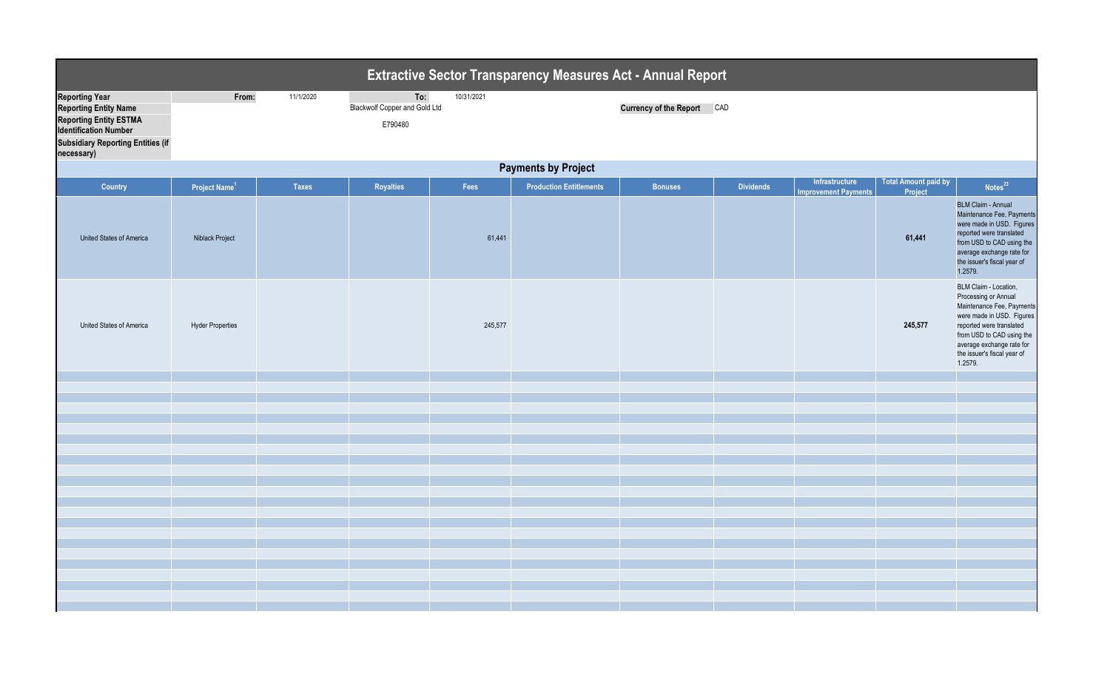| <b>Extractive Sector Transparency Measures Act - Annual Report</b>                                                                                                               |                            |              |                                                        |            |                                |                               |                  |                                               |                                 |                                                                                                                                                                                                                                         |  |  |
|----------------------------------------------------------------------------------------------------------------------------------------------------------------------------------|----------------------------|--------------|--------------------------------------------------------|------------|--------------------------------|-------------------------------|------------------|-----------------------------------------------|---------------------------------|-----------------------------------------------------------------------------------------------------------------------------------------------------------------------------------------------------------------------------------------|--|--|
| <b>Reporting Year</b><br><b>Reporting Entity Name</b><br><b>Reporting Entity ESTMA</b><br><b>Identification Number</b><br><b>Subsidiary Reporting Entities (if</b><br>necessary) | From:                      | 11/1/2020    | To:<br><b>Blackwolf Copper and Gold Ltd</b><br>E790480 | 10/31/2021 |                                | <b>Currency of the Report</b> | CAD              |                                               |                                 |                                                                                                                                                                                                                                         |  |  |
|                                                                                                                                                                                  | <b>Payments by Project</b> |              |                                                        |            |                                |                               |                  |                                               |                                 |                                                                                                                                                                                                                                         |  |  |
| <b>Country</b>                                                                                                                                                                   | Project Name <sup>1</sup>  | <b>Taxes</b> | <b>Royalties</b>                                       | Fees       | <b>Production Entitlements</b> | <b>Bonuses</b>                | <b>Dividends</b> | Infrastructure<br><b>Improvement Payments</b> | Total Amount paid by<br>Project | Notes <sup>23</sup>                                                                                                                                                                                                                     |  |  |
| United States of America                                                                                                                                                         | <b>Niblack Project</b>     |              |                                                        | 61,441     |                                |                               |                  |                                               | 61,441                          | <b>BLM Claim - Annual</b><br>Maintenance Fee, Payments<br>were made in USD. Figures<br>reported were translated<br>from USD to CAD using the<br>average exchange rate for<br>the issuer's fiscal year of<br>1.2579.                     |  |  |
| United States of America                                                                                                                                                         | <b>Hyder Properties</b>    |              |                                                        | 245,577    |                                |                               |                  |                                               | 245,577                         | BLM Claim - Location,<br>Processing or Annual<br>Maintenance Fee, Payments<br>were made in USD. Figures<br>reported were translated<br>from USD to CAD using the<br>average exchange rate for<br>the issuer's fiscal year of<br>1.2579. |  |  |
|                                                                                                                                                                                  |                            |              |                                                        |            |                                |                               |                  |                                               |                                 |                                                                                                                                                                                                                                         |  |  |
|                                                                                                                                                                                  |                            |              |                                                        |            |                                |                               |                  |                                               |                                 |                                                                                                                                                                                                                                         |  |  |
|                                                                                                                                                                                  |                            |              |                                                        |            |                                |                               |                  |                                               |                                 |                                                                                                                                                                                                                                         |  |  |
|                                                                                                                                                                                  |                            |              |                                                        |            |                                |                               |                  |                                               |                                 |                                                                                                                                                                                                                                         |  |  |
|                                                                                                                                                                                  |                            |              |                                                        |            |                                |                               |                  |                                               |                                 |                                                                                                                                                                                                                                         |  |  |
|                                                                                                                                                                                  |                            |              |                                                        |            |                                |                               |                  |                                               |                                 |                                                                                                                                                                                                                                         |  |  |
|                                                                                                                                                                                  |                            |              |                                                        |            |                                |                               |                  |                                               |                                 |                                                                                                                                                                                                                                         |  |  |
|                                                                                                                                                                                  |                            |              |                                                        |            |                                |                               |                  |                                               |                                 |                                                                                                                                                                                                                                         |  |  |
|                                                                                                                                                                                  |                            |              |                                                        |            |                                |                               |                  |                                               |                                 |                                                                                                                                                                                                                                         |  |  |
|                                                                                                                                                                                  |                            |              |                                                        |            |                                |                               |                  |                                               |                                 |                                                                                                                                                                                                                                         |  |  |
|                                                                                                                                                                                  |                            |              |                                                        |            |                                |                               |                  |                                               |                                 |                                                                                                                                                                                                                                         |  |  |
|                                                                                                                                                                                  |                            |              |                                                        |            |                                |                               |                  |                                               |                                 |                                                                                                                                                                                                                                         |  |  |
|                                                                                                                                                                                  |                            |              |                                                        |            |                                |                               |                  |                                               |                                 |                                                                                                                                                                                                                                         |  |  |
|                                                                                                                                                                                  |                            |              |                                                        |            |                                |                               |                  |                                               |                                 |                                                                                                                                                                                                                                         |  |  |
|                                                                                                                                                                                  |                            |              |                                                        |            |                                |                               |                  |                                               |                                 |                                                                                                                                                                                                                                         |  |  |
|                                                                                                                                                                                  |                            |              |                                                        |            |                                |                               |                  |                                               |                                 |                                                                                                                                                                                                                                         |  |  |
|                                                                                                                                                                                  |                            |              |                                                        |            |                                |                               |                  |                                               |                                 |                                                                                                                                                                                                                                         |  |  |
|                                                                                                                                                                                  |                            |              |                                                        |            |                                |                               |                  |                                               |                                 |                                                                                                                                                                                                                                         |  |  |